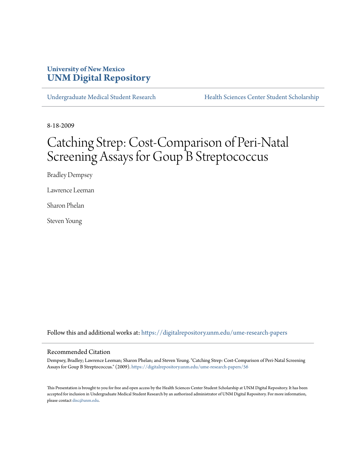# **University of New Mexico [UNM Digital Repository](https://digitalrepository.unm.edu?utm_source=digitalrepository.unm.edu%2Fume-research-papers%2F56&utm_medium=PDF&utm_campaign=PDFCoverPages)**

[Undergraduate Medical Student Research](https://digitalrepository.unm.edu/ume-research-papers?utm_source=digitalrepository.unm.edu%2Fume-research-papers%2F56&utm_medium=PDF&utm_campaign=PDFCoverPages) [Health Sciences Center Student Scholarship](https://digitalrepository.unm.edu/hsc-students?utm_source=digitalrepository.unm.edu%2Fume-research-papers%2F56&utm_medium=PDF&utm_campaign=PDFCoverPages)

8-18-2009

# Catching Strep: Cost-Comparison of Peri-Natal Screening Assays for Goup<sup>B</sup> Streptococcus

Bradley Dempsey

Lawrence Leeman

Sharon Phelan

Steven Young

Follow this and additional works at: [https://digitalrepository.unm.edu/ume-research-papers](https://digitalrepository.unm.edu/ume-research-papers?utm_source=digitalrepository.unm.edu%2Fume-research-papers%2F56&utm_medium=PDF&utm_campaign=PDFCoverPages)

#### Recommended Citation

Dempsey, Bradley; Lawrence Leeman; Sharon Phelan; and Steven Young. "Catching Strep: Cost-Comparison of Peri-Natal Screening Assays for Goup B Streptococcus." (2009). [https://digitalrepository.unm.edu/ume-research-papers/56](https://digitalrepository.unm.edu/ume-research-papers/56?utm_source=digitalrepository.unm.edu%2Fume-research-papers%2F56&utm_medium=PDF&utm_campaign=PDFCoverPages)

This Presentation is brought to you for free and open access by the Health Sciences Center Student Scholarship at UNM Digital Repository. It has been accepted for inclusion in Undergraduate Medical Student Research by an authorized administrator of UNM Digital Repository. For more information, please contact [disc@unm.edu.](mailto:disc@unm.edu)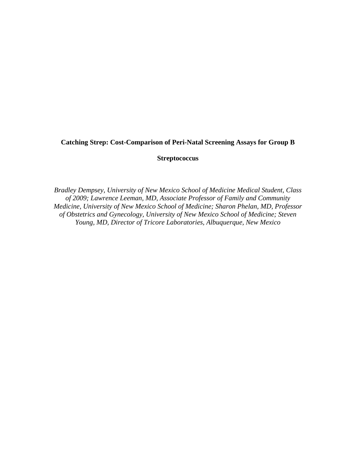# **Catching Strep: Cost-Comparison of Peri-Natal Screening Assays for Group B**

# **Streptococcus**

*Bradley Dempsey, University of New Mexico School of Medicine Medical Student, Class of 2009; Lawrence Leeman, MD, Associate Professor of Family and Community Medicine, University of New Mexico School of Medicine; Sharon Phelan, MD, Professor of Obstetrics and Gynecology, University of New Mexico School of Medicine; Steven Young, MD, Director of Tricore Laboratories, Albuquerque, New Mexico*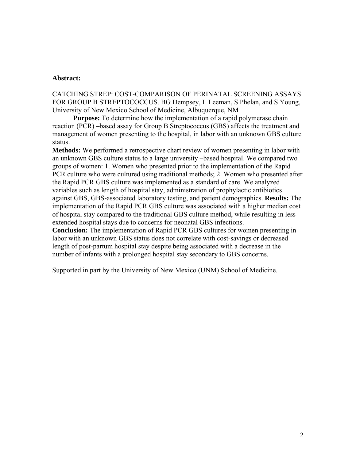## **Abstract:**

CATCHING STREP: COST-COMPARISON OF PERINATAL SCREENING ASSAYS FOR GROUP B STREPTOCOCCUS. BG Dempsey, L Leeman, S Phelan, and S Young, University of New Mexico School of Medicine, Albuquerque, NM

**Purpose:** To determine how the implementation of a rapid polymerase chain reaction (PCR) –based assay for Group B Streptococcus (GBS) affects the treatment and management of women presenting to the hospital, in labor with an unknown GBS culture status.

**Methods:** We performed a retrospective chart review of women presenting in labor with an unknown GBS culture status to a large university –based hospital. We compared two groups of women: 1. Women who presented prior to the implementation of the Rapid PCR culture who were cultured using traditional methods; 2. Women who presented after the Rapid PCR GBS culture was implemented as a standard of care. We analyzed variables such as length of hospital stay, administration of prophylactic antibiotics against GBS, GBS-associated laboratory testing, and patient demographics. **Results:** The implementation of the Rapid PCR GBS culture was associated with a higher median cost of hospital stay compared to the traditional GBS culture method, while resulting in less extended hospital stays due to concerns for neonatal GBS infections.

**Conclusion:** The implementation of Rapid PCR GBS cultures for women presenting in labor with an unknown GBS status does not correlate with cost-savings or decreased length of post-partum hospital stay despite being associated with a decrease in the number of infants with a prolonged hospital stay secondary to GBS concerns.

Supported in part by the University of New Mexico (UNM) School of Medicine.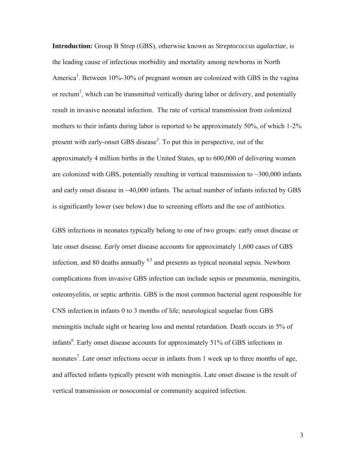**Introduction:** Group B Strep (GBS), otherwise known as *Streptococcus agalactiae*, is the leading cause of infectious morbidity and mortality among newborns in North America<sup>1</sup>. Between 10%-30% of pregnant women are colonized with GBS in the vagina or rectum<sup>2</sup>, which can be transmitted vertically during labor or delivery, and potentially result in invasive neonatal infection. The rate of vertical transmission from colonized mothers to their infants during labor is reported to be approximately 50%, of which 1-2% present with early-onset GBS disease<sup>3</sup>. To put this in perspective, out of the approximately 4 million births in the United States, up to 600,000 of delivering women are colonized with GBS, potentially resulting in vertical transmission to  $\sim$  300,000 infants and early onset disease in ~40,000 infants. The actual number of infants infected by GBS is significantly lower (see below) due to screening efforts and the use of antibiotics.

GBS infections in neonates typically belong to one of two groups: early onset disease or late onset disease. *Early onset* disease accounts for approximately 1,600 cases of GBS infection, and 80 deaths annually  $4.5$  and presents as typical neonatal sepsis. Newborn complications from invasive GBS infection can include sepsis or pneumonia, meningitis, osteomyelitis, or septic arthritis. GBS is the most common bacterial agent responsible for CNS infection in infants 0 to 3 months of life; neurological sequelae from GBS meningitis include sight or hearing loss and mental retardation. Death occurs in 5% of infants<sup>6</sup>. Early onset disease accounts for approximately 51% of GBS infections in neonates<sup>7</sup>. *Late onset* infections occur in infants from 1 week up to three months of age, and affected infants typically present with meningitis. Late onset disease is the result of vertical transmission or nosocomial or community acquired infection.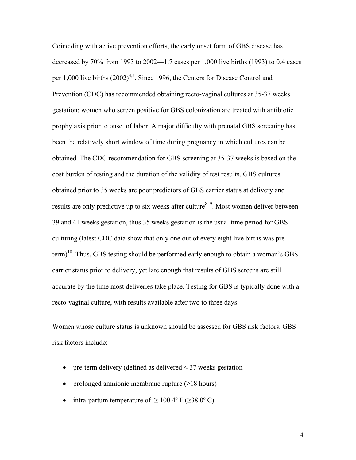Coinciding with active prevention efforts, the early onset form of GBS disease has decreased by  $70\%$  from 1993 to  $2002-1.7$  cases per 1,000 live births (1993) to 0.4 cases per  $1,000$  live births  $(2002)^{4,5}$ . Since 1996, the Centers for Disease Control and Prevention (CDC) has recommended obtaining recto-vaginal cultures at 35-37 weeks gestation; women who screen positive for GBS colonization are treated with antibiotic prophylaxis prior to onset of labor. A major difficulty with prenatal GBS screening has been the relatively short window of time during pregnancy in which cultures can be obtained. The CDC recommendation for GBS screening at 35-37 weeks is based on the cost burden of testing and the duration of the validity of test results. GBS cultures obtained prior to 35 weeks are poor predictors of GBS carrier status at delivery and results are only predictive up to six weeks after culture<sup>8, 9</sup>. Most women deliver between 39 and 41 weeks gestation, thus 35 weeks gestation is the usual time period for GBS culturing (latest CDC data show that only one out of every eight live births was pre $term$ <sup>10</sup>. Thus, GBS testing should be performed early enough to obtain a woman's GBS carrier status prior to delivery, yet late enough that results of GBS screens are still accurate by the time most deliveries take place. Testing for GBS is typically done with a recto-vaginal culture, with results available after two to three days.

Women whose culture status is unknown should be assessed for GBS risk factors. GBS risk factors include:

- pre-term delivery (defined as delivered  $\leq$  37 weeks gestation
- prolonged amnionic membrane rupture (>18 hours)
- intra-partum temperature of  $> 100.4$ ° F ( $> 38.0$ °C)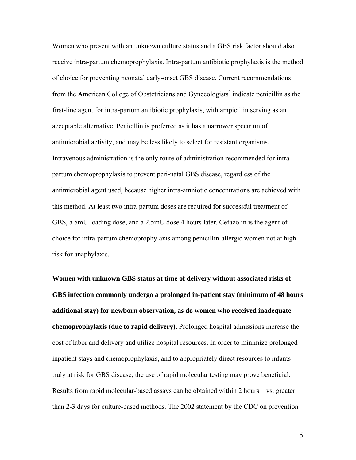Women who present with an unknown culture status and a GBS risk factor should also receive intra-partum chemoprophylaxis. Intra-partum antibiotic prophylaxis is the method of choice for preventing neonatal early-onset GBS disease. Current recommendations from the American College of Obstetricians and Gynecologists<sup>4</sup> indicate penicillin as the first-line agent for intra-partum antibiotic prophylaxis, with ampicillin serving as an acceptable alternative. Penicillin is preferred as it has a narrower spectrum of antimicrobial activity, and may be less likely to select for resistant organisms. Intravenous administration is the only route of administration recommended for intrapartum chemoprophylaxis to prevent peri-natal GBS disease, regardless of the antimicrobial agent used, because higher intra-amniotic concentrations are achieved with this method. At least two intra-partum doses are required for successful treatment of GBS, a 5mU loading dose, and a 2.5mU dose 4 hours later. Cefazolin is the agent of choice for intra-partum chemoprophylaxis among penicillin-allergic women not at high risk for anaphylaxis.

**Women with unknown GBS status at time of delivery without associated risks of GBS infection commonly undergo a prolonged in-patient stay (minimum of 48 hours additional stay) for newborn observation, as do women who received inadequate chemoprophylaxis (due to rapid delivery).** Prolonged hospital admissions increase the cost of labor and delivery and utilize hospital resources. In order to minimize prolonged inpatient stays and chemoprophylaxis, and to appropriately direct resources to infants truly at risk for GBS disease, the use of rapid molecular testing may prove beneficial. Results from rapid molecular-based assays can be obtained within 2 hours—vs. greater than 2-3 days for culture-based methods. The 2002 statement by the CDC on prevention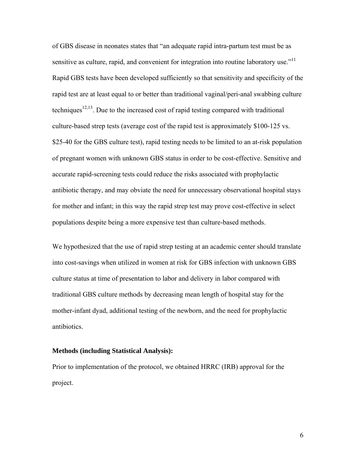of GBS disease in neonates states that "an adequate rapid intra-partum test must be as sensitive as culture, rapid, and convenient for integration into routine laboratory use."<sup>11</sup> Rapid GBS tests have been developed sufficiently so that sensitivity and specificity of the rapid test are at least equal to or better than traditional vaginal/peri-anal swabbing culture techniques<sup>12,13</sup>. Due to the increased cost of rapid testing compared with traditional culture-based strep tests (average cost of the rapid test is approximately \$100-125 vs. \$25-40 for the GBS culture test), rapid testing needs to be limited to an at-risk population of pregnant women with unknown GBS status in order to be cost-effective. Sensitive and accurate rapid-screening tests could reduce the risks associated with prophylactic antibiotic therapy, and may obviate the need for unnecessary observational hospital stays for mother and infant; in this way the rapid strep test may prove cost-effective in select populations despite being a more expensive test than culture-based methods.

We hypothesized that the use of rapid strep testing at an academic center should translate into cost-savings when utilized in women at risk for GBS infection with unknown GBS culture status at time of presentation to labor and delivery in labor compared with traditional GBS culture methods by decreasing mean length of hospital stay for the mother-infant dyad, additional testing of the newborn, and the need for prophylactic antibiotics.

#### **Methods (including Statistical Analysis):**

Prior to implementation of the protocol, we obtained HRRC (IRB) approval for the project.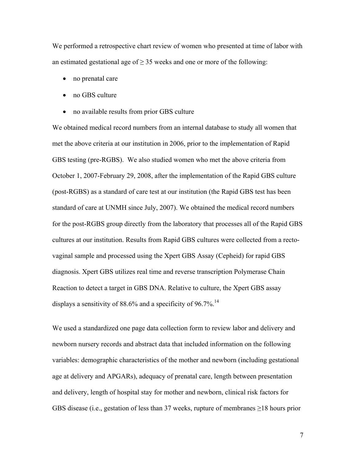We performed a retrospective chart review of women who presented at time of labor with an estimated gestational age of  $\geq$  35 weeks and one or more of the following:

- no prenatal care
- no GBS culture
- no available results from prior GBS culture

We obtained medical record numbers from an internal database to study all women that met the above criteria at our institution in 2006, prior to the implementation of Rapid GBS testing (pre-RGBS). We also studied women who met the above criteria from October 1, 2007-February 29, 2008, after the implementation of the Rapid GBS culture (post-RGBS) as a standard of care test at our institution (the Rapid GBS test has been standard of care at UNMH since July, 2007). We obtained the medical record numbers for the post-RGBS group directly from the laboratory that processes all of the Rapid GBS cultures at our institution. Results from Rapid GBS cultures were collected from a rectovaginal sample and processed using the Xpert GBS Assay (Cepheid) for rapid GBS diagnosis. Xpert GBS utilizes real time and reverse transcription Polymerase Chain Reaction to detect a target in GBS DNA. Relative to culture, the Xpert GBS assay displays a sensitivity of 88.6% and a specificity of 96.7%.<sup>14</sup>

We used a standardized one page data collection form to review labor and delivery and newborn nursery records and abstract data that included information on the following variables: demographic characteristics of the mother and newborn (including gestational age at delivery and APGARs), adequacy of prenatal care, length between presentation and delivery, length of hospital stay for mother and newborn, clinical risk factors for GBS disease (i.e., gestation of less than 37 weeks, rupture of membranes  $\geq$ 18 hours prior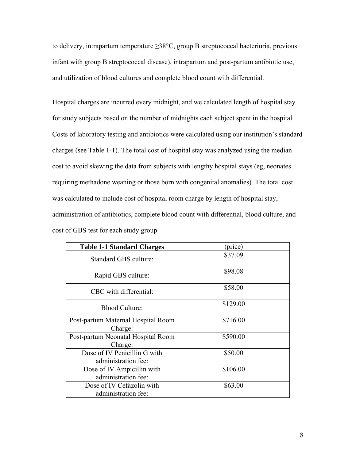to delivery, intrapartum temperature  $\geq$ 38°C, group B streptococcal bacteriuria, previous infant with group B streptococcal disease), intrapartum and post-partum antibiotic use, and utilization of blood cultures and complete blood count with differential.

Hospital charges are incurred every midnight, and we calculated length of hospital stay for study subjects based on the number of midnights each subject spent in the hospital. Costs of laboratory testing and antibiotics were calculated using our institution's standard charges (see Table 1-1). The total cost of hospital stay was analyzed using the median cost to avoid skewing the data from subjects with lengthy hospital stays (eg, neonates requiring methadone weaning or those born with congenital anomalies). The total cost was calculated to include cost of hospital room charge by length of hospital stay, administration of antibiotics, complete blood count with differential, blood culture, and cost of GBS test for each study group.

| <b>Table 1-1 Standard Charges</b>                   | (price)  |
|-----------------------------------------------------|----------|
| Standard GBS culture:                               | \$37.09  |
| Rapid GBS culture:                                  | \$98.08  |
| CBC with differential:                              | \$58.00  |
| <b>Blood Culture:</b>                               | \$129.00 |
| Post-partum Maternal Hospital Room<br>Charge:       | \$716.00 |
| Post-partum Neonatal Hospital Room<br>Charge:       | \$590.00 |
| Dose of IV Penicillin G with<br>administration fee: | \$50.00  |
| Dose of IV Ampicillin with<br>administration fee:   | \$106.00 |
| Dose of IV Cefazolin with<br>administration fee:    | \$63.00  |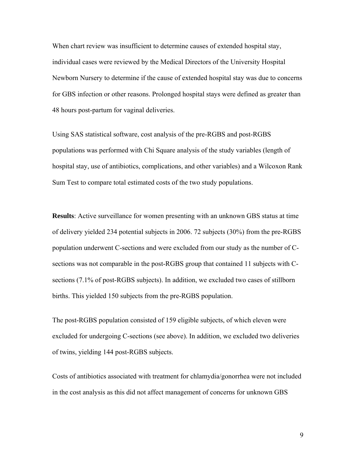When chart review was insufficient to determine causes of extended hospital stay, individual cases were reviewed by the Medical Directors of the University Hospital Newborn Nursery to determine if the cause of extended hospital stay was due to concerns for GBS infection or other reasons. Prolonged hospital stays were defined as greater than 48 hours post-partum for vaginal deliveries.

Using SAS statistical software, cost analysis of the pre-RGBS and post-RGBS populations was performed with Chi Square analysis of the study variables (length of hospital stay, use of antibiotics, complications, and other variables) and a Wilcoxon Rank Sum Test to compare total estimated costs of the two study populations.

**Results**: Active surveillance for women presenting with an unknown GBS status at time of delivery yielded 234 potential subjects in 2006. 72 subjects (30%) from the pre-RGBS population underwent C-sections and were excluded from our study as the number of Csections was not comparable in the post-RGBS group that contained 11 subjects with Csections (7.1% of post-RGBS subjects). In addition, we excluded two cases of stillborn births. This yielded 150 subjects from the pre-RGBS population.

The post-RGBS population consisted of 159 eligible subjects, of which eleven were excluded for undergoing C-sections (see above). In addition, we excluded two deliveries of twins, yielding 144 post-RGBS subjects.

Costs of antibiotics associated with treatment for chlamydia/gonorrhea were not included in the cost analysis as this did not affect management of concerns for unknown GBS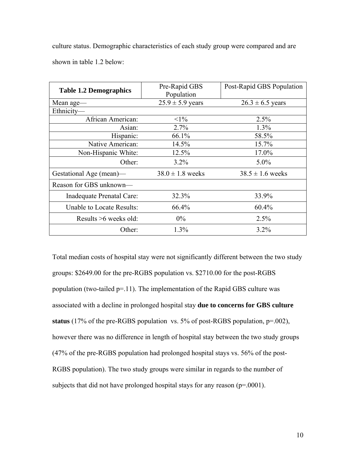culture status. Demographic characteristics of each study group were compared and are shown in table 1.2 below:

| <b>Table 1.2 Demographics</b> | Pre-Rapid GBS<br>Population | Post-Rapid GBS Population |
|-------------------------------|-----------------------------|---------------------------|
| Mean age-                     | $25.9 \pm 5.9$ years        | $26.3 \pm 6.5$ years      |
| Ethnicity-                    |                             |                           |
| African American:             | $<1\%$                      | 2.5%                      |
| Asian:                        | 2.7%                        | 1.3%                      |
| Hispanic:                     | 66.1%                       | 58.5%                     |
| Native American:              | 14.5%                       | 15.7%                     |
| Non-Hispanic White:           | 12.5%                       | 17.0%                     |
| Other:                        | $3.2\%$                     | $5.0\%$                   |
| Gestational Age (mean)—       | $38.0 \pm 1.8$ weeks        | $38.5 \pm 1.6$ weeks      |
| Reason for GBS unknown—       |                             |                           |
| Inadequate Prenatal Care:     | 32.3%                       | 33.9%                     |
| Unable to Locate Results:     | 66.4%                       | 60.4%                     |
| Results $>6$ weeks old:       | $0\%$                       | 2.5%                      |
| Other:                        | 1.3%                        | $3.2\%$                   |

Total median costs of hospital stay were not significantly different between the two study groups: \$2649.00 for the pre-RGBS population vs. \$2710.00 for the post-RGBS population (two-tailed  $p=11$ ). The implementation of the Rapid GBS culture was associated with a decline in prolonged hospital stay **due to concerns for GBS culture status** (17% of the pre-RGBS population vs. 5% of post-RGBS population, p=.002), however there was no difference in length of hospital stay between the two study groups (47% of the pre-RGBS population had prolonged hospital stays vs. 56% of the post-RGBS population). The two study groups were similar in regards to the number of subjects that did not have prolonged hospital stays for any reason  $(p=0.001)$ .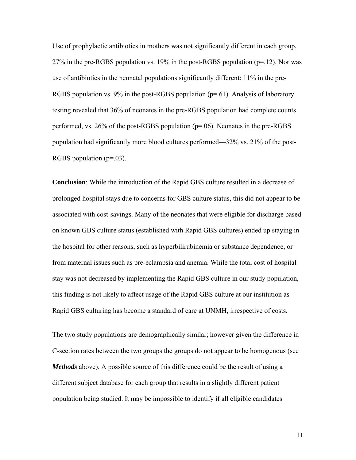Use of prophylactic antibiotics in mothers was not significantly different in each group, 27% in the pre-RGBS population vs. 19% in the post-RGBS population  $(p=12)$ . Nor was use of antibiotics in the neonatal populations significantly different: 11% in the pre-RGBS population vs. 9% in the post-RGBS population  $(p=0.61)$ . Analysis of laboratory testing revealed that 36% of neonates in the pre-RGBS population had complete counts performed, vs. 26% of the post-RGBS population (p=.06). Neonates in the pre-RGBS population had significantly more blood cultures performed—32% vs. 21% of the post-RGBS population  $(p=0.03)$ .

**Conclusion**: While the introduction of the Rapid GBS culture resulted in a decrease of prolonged hospital stays due to concerns for GBS culture status, this did not appear to be associated with cost-savings. Many of the neonates that were eligible for discharge based on known GBS culture status (established with Rapid GBS cultures) ended up staying in the hospital for other reasons, such as hyperbilirubinemia or substance dependence, or from maternal issues such as pre-eclampsia and anemia. While the total cost of hospital stay was not decreased by implementing the Rapid GBS culture in our study population, this finding is not likely to affect usage of the Rapid GBS culture at our institution as Rapid GBS culturing has become a standard of care at UNMH, irrespective of costs.

The two study populations are demographically similar; however given the difference in C-section rates between the two groups the groups do not appear to be homogenous (see *Methods* above). A possible source of this difference could be the result of using a different subject database for each group that results in a slightly different patient population being studied. It may be impossible to identify if all eligible candidates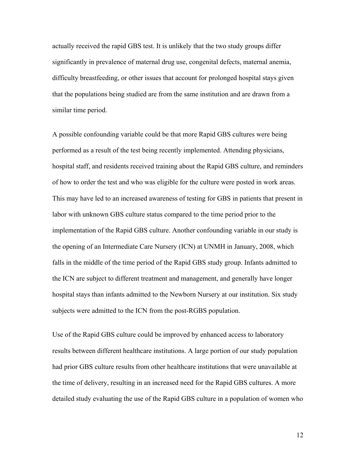actually received the rapid GBS test. It is unlikely that the two study groups differ significantly in prevalence of maternal drug use, congenital defects, maternal anemia, difficulty breastfeeding, or other issues that account for prolonged hospital stays given that the populations being studied are from the same institution and are drawn from a similar time period.

A possible confounding variable could be that more Rapid GBS cultures were being performed as a result of the test being recently implemented. Attending physicians, hospital staff, and residents received training about the Rapid GBS culture, and reminders of how to order the test and who was eligible for the culture were posted in work areas. This may have led to an increased awareness of testing for GBS in patients that present in labor with unknown GBS culture status compared to the time period prior to the implementation of the Rapid GBS culture. Another confounding variable in our study is the opening of an Intermediate Care Nursery (ICN) at UNMH in January, 2008, which falls in the middle of the time period of the Rapid GBS study group. Infants admitted to the ICN are subject to different treatment and management, and generally have longer hospital stays than infants admitted to the Newborn Nursery at our institution. Six study subjects were admitted to the ICN from the post-RGBS population.

Use of the Rapid GBS culture could be improved by enhanced access to laboratory results between different healthcare institutions. A large portion of our study population had prior GBS culture results from other healthcare institutions that were unavailable at the time of delivery, resulting in an increased need for the Rapid GBS cultures. A more detailed study evaluating the use of the Rapid GBS culture in a population of women who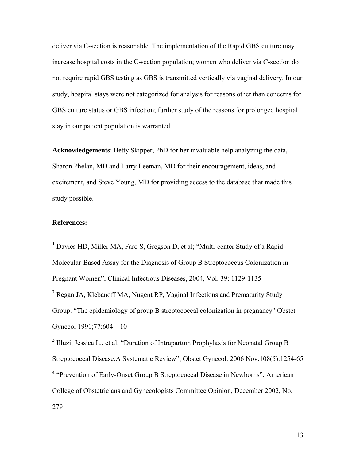deliver via C-section is reasonable. The implementation of the Rapid GBS culture may increase hospital costs in the C-section population; women who deliver via C-section do not require rapid GBS testing as GBS is transmitted vertically via vaginal delivery. In our study, hospital stays were not categorized for analysis for reasons other than concerns for GBS culture status or GBS infection; further study of the reasons for prolonged hospital stay in our patient population is warranted.

**Acknowledgements**: Betty Skipper, PhD for her invaluable help analyzing the data, Sharon Phelan, MD and Larry Leeman, MD for their encouragement, ideas, and excitement, and Steve Young, MD for providing access to the database that made this study possible.

### **References:**

<sup>1</sup> Davies HD, Miller MA, Faro S, Gregson D, et al; "Multi-center Study of a Rapid Molecular-Based Assay for the Diagnosis of Group B Streptococcus Colonization in Pregnant Women"; Clinical Infectious Diseases, 2004, Vol. 39: 1129-1135 <sup>2</sup> Regan JA, Klebanoff MA, Nugent RP, Vaginal Infections and Prematurity Study Group. "The epidemiology of group B streptococcal colonization in pregnancy" Obstet Gynecol 1991;77:604—10 **<sup>3</sup>** Illuzi, Jessica L., et al; "Duration of Intrapartum Prophylaxis for Neonatal Group B

Streptococcal Disease:A Systematic Review"; Obstet Gynecol. 2006 Nov;108(5):1254-65 <sup>4</sup> "Prevention of Early-Onset Group B Streptococcal Disease in Newborns"; American College of Obstetricians and Gynecologists Committee Opinion, December 2002, No. 279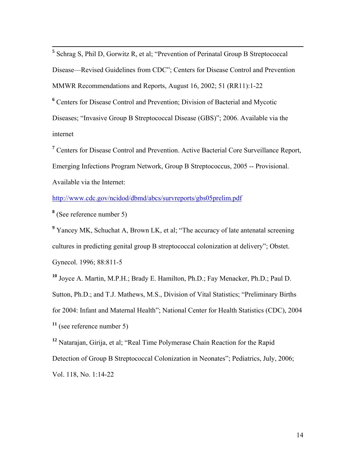**<sup>5</sup>** Schrag S, Phil D, Gorwitz R, et al; "Prevention of Perinatal Group B Streptococcal Disease—Revised Guidelines from CDC"; Centers for Disease Control and Prevention MMWR Recommendations and Reports, August 16, 2002; 51 (RR11):1-22 **6** Centers for Disease Control and Prevention; Division of Bacterial and Mycotic Diseases; "Invasive Group B Streptococcal Disease (GBS)"; 2006. Available via the internet

**<sup>7</sup>** Centers for Disease Control and Prevention. Active Bacterial Core Surveillance Report, Emerging Infections Program Network, Group B Streptococcus, 2005 -- Provisional. Available via the Internet:

http://www.cdc.gov/ncidod/dbmd/abcs/survreports/gbs05prelim.pdf

**8** (See reference number 5)

<sup>9</sup> Yancey MK, Schuchat A, Brown LK, et al; "The accuracy of late antenatal screening cultures in predicting genital group B streptococcal colonization at delivery"; Obstet. Gynecol. 1996; 88:811-5

**<sup>10</sup>** Joyce A. Martin, M.P.H.; Brady E. Hamilton, Ph.D.; Fay Menacker, Ph.D.; Paul D.

Sutton, Ph.D.; and T.J. Mathews, M.S., Division of Vital Statistics; "Preliminary Births

for 2004: Infant and Maternal Health"; National Center for Health Statistics (CDC), 2004 **<sup>11</sup>** (see reference number 5)

**<sup>12</sup>** Natarajan, Girija, et al; "Real Time Polymerase Chain Reaction for the Rapid Detection of Group B Streptococcal Colonization in Neonates"; Pediatrics, July, 2006; Vol. 118, No. 1:14-22